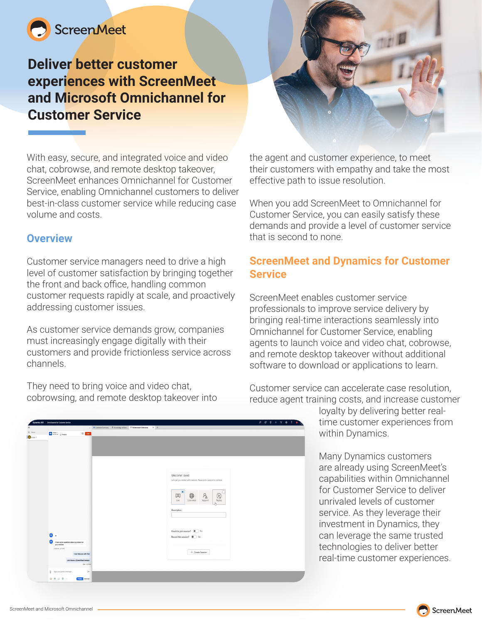

# **Deliver better customer experiences with ScreenMeet and Microsoft Omnichannel for Customer Service**



With easy, secure, and integrated voice and video chat, cobrowse, and remote desktop takeover, ScreenMeet enhances Omnichannel for Customer Service, enabling Omnichannel customers to deliver best-in-class customer service while reducing case volume and costs.

#### **Overview**

Customer service managers need to drive a high level of customer satisfaction by bringing together the front and back office, handling common customer requests rapidly at scale, and proactively addressing customer issues.

As customer service demands grow, companies must increasingly engage digitally with their customers and provide frictionless service across channels.

They need to bring voice and video chat, cobrowsing, and remote desktop takeover into the agent and customer experience, to meet their customers with empathy and take the most effective path to issue resolution.

When you add ScreenMeet to Omnichannel for Customer Service, you can easily satisfy these demands and provide a level of customer service that is second to none.

### **ScreenMeet and Dynamics for Customer Service**

ScreenMeet enables customer service professionals to improve service delivery by bringing real-time interactions seamlessly into Omnichannel for Customer Service, enabling agents to launch voice and video chat, cobrowse, and remote desktop takeover without additional software to download or applications to learn.

Customer service can accelerate case resolution, reduce agent training costs, and increase customer

 $+$  Create Session

loyalty by delivering better realtime customer experiences from within Dynamics.

Many Dynamics customers are already using ScreenMeet's capabilities within Omnichannel for Customer Service to deliver unrivaled levels of customer service. As they leverage their investment in Dynamics, they can leverage the same trusted technologies to deliver better real-time customer experiences.